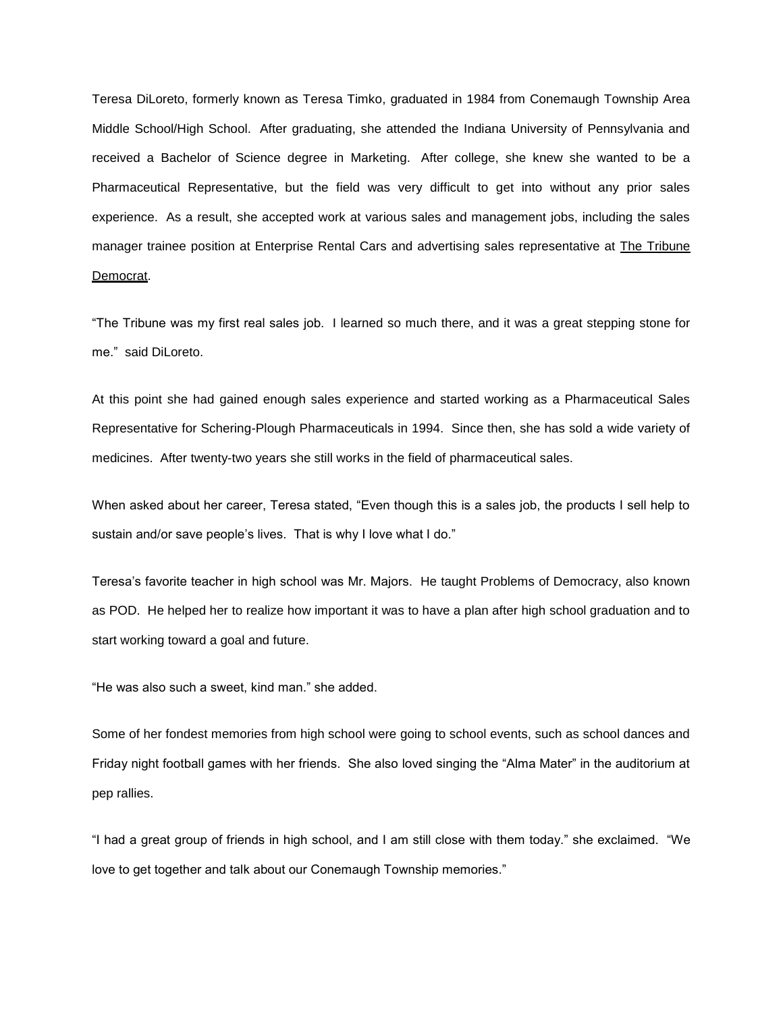Teresa DiLoreto, formerly known as Teresa Timko, graduated in 1984 from Conemaugh Township Area Middle School/High School. After graduating, she attended the Indiana University of Pennsylvania and received a Bachelor of Science degree in Marketing. After college, she knew she wanted to be a Pharmaceutical Representative, but the field was very difficult to get into without any prior sales experience. As a result, she accepted work at various sales and management jobs, including the sales manager trainee position at Enterprise Rental Cars and advertising sales representative at *The Tribune* Democrat.

"The Tribune was my first real sales job. I learned so much there, and it was a great stepping stone for me." said DiLoreto.

At this point she had gained enough sales experience and started working as a Pharmaceutical Sales Representative for Schering-Plough Pharmaceuticals in 1994. Since then, she has sold a wide variety of medicines. After twenty-two years she still works in the field of pharmaceutical sales.

When asked about her career, Teresa stated, "Even though this is a sales job, the products I sell help to sustain and/or save people's lives. That is why I love what I do."

Teresa's favorite teacher in high school was Mr. Majors. He taught Problems of Democracy, also known as POD. He helped her to realize how important it was to have a plan after high school graduation and to start working toward a goal and future.

"He was also such a sweet, kind man." she added.

Some of her fondest memories from high school were going to school events, such as school dances and Friday night football games with her friends. She also loved singing the "Alma Mater" in the auditorium at pep rallies.

"I had a great group of friends in high school, and I am still close with them today." she exclaimed. "We love to get together and talk about our Conemaugh Township memories."